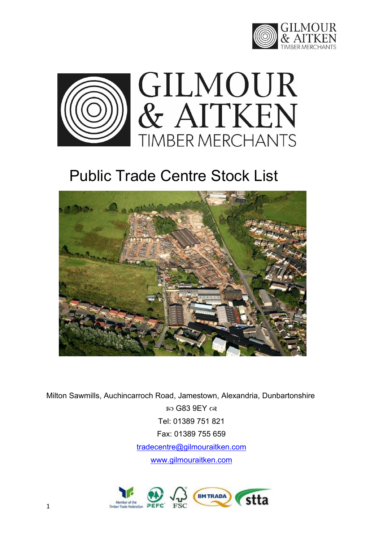



# Public Trade Centre Stock List



Milton Sawmills, Auchincarroch Road, Jamestown, Alexandria, Dunbartonshire  $\omega$  G83 9EY  $\alpha$ Tel: 01389 751 821 Fax: 01389 755 659 [tradecentre@gilmouraitken.com](mailto:tradecentre@gilmouraitken.com) [www.gilmouraitken.com](http://www.gilmouraitken.com/)

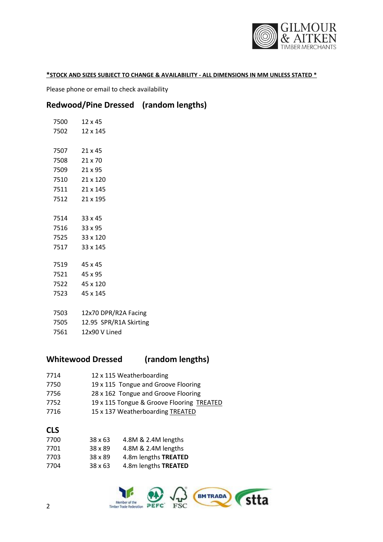

#### **\*STOCK AND SIZES SUBJECT TO CHANGE & AVAILABILITY - ALL DIMENSIONS IN MM UNLESS STATED \***

Please phone or email to check availability

# **Redwood/Pine Dressed (random lengths)**

| 7500 12 x 45                |
|-----------------------------|
| 7502 12 x 145               |
|                             |
| 7507 21 x 45                |
| 7508 21 x 70                |
| 7509 21 x 95                |
| 7510 21 x 120               |
| 7511 21 x 145               |
| 7512 21 x 195               |
|                             |
| 7514 33 x 45                |
| 7516 33 x 95                |
| 7525 33 x 120               |
| 7517 33 x 145               |
|                             |
| 7519 45 x 45                |
| 7521 45 x 95                |
| 7522 45 x 120               |
| 7523 45 x 145               |
|                             |
| 7503 12x70 DPR/R2A Facing   |
| 7505 12.95 SPR/R1A Skirting |
| 7561 12x90 V Lined          |

# **Whitewood Dressed (random lengths)**

| 7714 | 12 x 115 Weatherboarding |
|------|--------------------------|
|------|--------------------------|

- 19 x 115 Tongue and Groove Flooring
- 28 x 162 Tongue and Groove Flooring
- 7752 19 x 115 Tongue & Groove Flooring TREATED
- 7716 15 x 137 Weatherboarding TREATED

#### **CLS**

| 4.8M & 2.4M lengths  | $38 \times 63$ | 7700 |
|----------------------|----------------|------|
| 4.8M & 2.4M lengths  | 38 x 89        | 7701 |
| 4.8m lengths TREATED | 38 x 89        | 7703 |
| 4.8m lengths TREATED | $38 \times 63$ | 7704 |

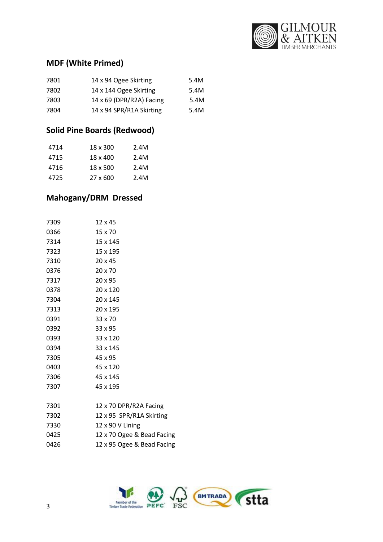

# **MDF (White Primed)**

| 7801 | 14 x 94 Ogee Skirting    | 5.4M |
|------|--------------------------|------|
| 7802 | 14 x 144 Ogee Skirting   | 5.4M |
| 7803 | 14 x 69 (DPR/R2A) Facing | 5.4M |
| 7804 | 14 x 94 SPR/R1A Skirting | 5.4M |

# **Solid Pine Boards (Redwood)**

| 4714 | 18 x 300 | 2.4M |
|------|----------|------|
| 4715 | 18 x 400 | 2.4M |
| 4716 | 18 x 500 | 2.4M |
| 4725 | 27 x 600 | 2.4M |

# **Mahogany/DRM Dressed**

| 7309 | 12 x 45                    |
|------|----------------------------|
| 0366 | 15 x 70                    |
| 7314 | 15 x 145                   |
| 7323 | 15 x 195                   |
| 7310 | $20 \times 45$             |
| 0376 | $20 \times 70$             |
| 7317 | $20 \times 95$             |
| 0378 | 20 x 120                   |
| 7304 | 20 x 145                   |
| 7313 | 20 x 195                   |
| 0391 | 33 x 70                    |
| 0392 | $33 \times 95$             |
| 0393 | 33 x 120                   |
| 0394 | 33 x 145                   |
| 7305 | 45 x 95                    |
| 0403 | 45 x 120                   |
| 7306 | 45 x 145                   |
| 7307 | 45 x 195                   |
| 7301 | 12 x 70 DPR/R2A Facing     |
| 7302 | 12 x 95 SPR/R1A Skirting   |
| 7330 | 12 x 90 V Lining           |
| 0425 | 12 x 70 Ogee & Bead Facing |
| 0426 | 12 x 95 Ogee & Bead Facing |
|      |                            |

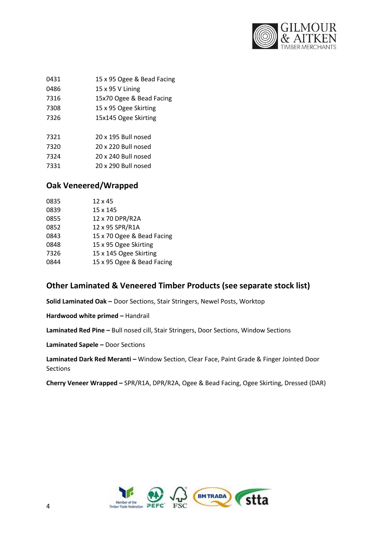

| 0431 | 15 x 95 Ogee & Bead Facing |
|------|----------------------------|
|      |                            |

| 0486 | 15 x 95 V Lining |  |
|------|------------------|--|
|      |                  |  |

15x70 Ogee & Bead Facing

- 15 x 95 Ogee Skirting
- 15x145 Ogee Skirting

| 7321 | 20 x 195 Bull nosed |
|------|---------------------|
| 7320 | 20 x 220 Bull nosed |
| 7324 | 20 x 240 Bull nosed |
| 7331 | 20 x 290 Bull nosed |

# **Oak Veneered/Wrapped**

| 0835 | $12 \times 45$             |
|------|----------------------------|
| 0839 | 15 x 145                   |
| 0855 | 12 x 70 DPR/R2A            |
| 0852 | 12 x 95 SPR/R1A            |
| 0843 | 15 x 70 Ogee & Bead Facing |
| 0848 | 15 x 95 Ogee Skirting      |
| 7326 | 15 x 145 Ogee Skirting     |
| 0844 | 15 x 95 Ogee & Bead Facing |

# **Other Laminated & Veneered Timber Products (see separate stock list)**

**Solid Laminated Oak –** Door Sections, Stair Stringers, Newel Posts, Worktop

**Hardwood white primed - Handrail** 

**Laminated Red Pine –** Bull nosed cill, Stair Stringers, Door Sections, Window Sections

**Laminated Sapele –** Door Sections

**Laminated Dark Red Meranti -** Window Section, Clear Face, Paint Grade & Finger Jointed Door Sections

**Cherry Veneer Wrapped –** SPR/R1A, DPR/R2A, Ogee & Bead Facing, Ogee Skirting, Dressed (DAR)

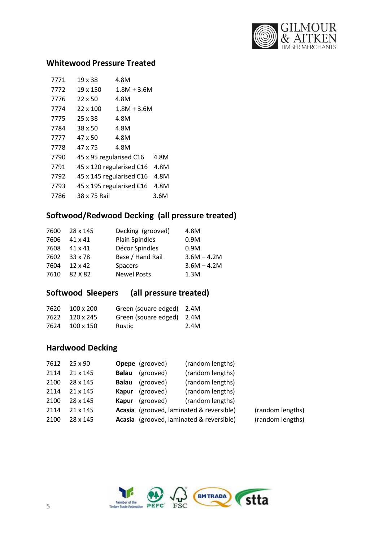

# **Whitewood Pressure Treated**

| 7771 | 19 x 38                 | 4.8M                     |      |
|------|-------------------------|--------------------------|------|
| 7772 | 19 x 150                | $1.8M + 3.6M$            |      |
| 7776 | $22 \times 50$          | 4.8M                     |      |
| 7774 | 22 x 100                | 1.8M + 3.6M              |      |
| 7775 | $25 \times 38$          | 4.8M                     |      |
| 7784 | $38 \times 50$          | 4.8M                     |      |
| 7777 | 47 x 50                 | 4.8M                     |      |
| 7778 | 47 x 75                 | 4.8M                     |      |
| 7790 | 45 x 95 regularised C16 |                          | 4.8M |
| 7791 |                         | 45 x 120 regularised C16 | 4.8M |
| 7792 |                         | 45 x 145 regularised C16 | 4.8M |
| 7793 |                         | 45 x 195 regularised C16 | 4.8M |
| 7786 | 38 x 75 Rail            |                          | 3.6M |

# **Softwood/Redwood Decking (all pressure treated)**

| Decking (grooved)<br>28 x 145<br>7600           | 4.8M          |
|-------------------------------------------------|---------------|
| <b>Plain Spindles</b><br>7606<br>$41 \times 41$ | 0.9M          |
| Décor Spindles<br>7608<br>41 x 41               | 0.9M          |
| Base / Hand Rail<br>7602<br>33 x 78             | $3.6M - 4.2M$ |
| 7604<br>$12 \times 42$<br><b>Spacers</b>        | $3.6M - 4.2M$ |
| <b>Newel Posts</b><br>7610<br>82 X 82           | 1.3M          |

# **Softwood Sleepers (all pressure treated)**

|      | 7620 100 x 200 | Green (square edged) 2.4M |      |
|------|----------------|---------------------------|------|
| 7622 | 120 x 245      | Green (square edged) 2.4M |      |
| 7624 | 100 x 150      | Rustic                    | 2.4M |

# **Hardwood Decking**

| 7612 | $25 \times 90$ |              | <b>Opepe</b> (grooved)                   | (random lengths)                         |                  |
|------|----------------|--------------|------------------------------------------|------------------------------------------|------------------|
| 2114 | 21 x 145       | <b>Balau</b> | (grooved)                                | (random lengths)                         |                  |
| 2100 | 28 x 145       | <b>Balau</b> | (grooved)                                | (random lengths)                         |                  |
| 2114 | 21 x 145       | Kapur        | (grooved)                                | (random lengths)                         |                  |
| 2100 | 28 x 145       | Kapur        | (grooved)                                | (random lengths)                         |                  |
| 2114 | 21 x 145       |              | Acasia (grooved, laminated & reversible) |                                          | (random lengths) |
| 2100 | 28 x 145       |              |                                          | Acasia (grooved, laminated & reversible) | (random lengths) |

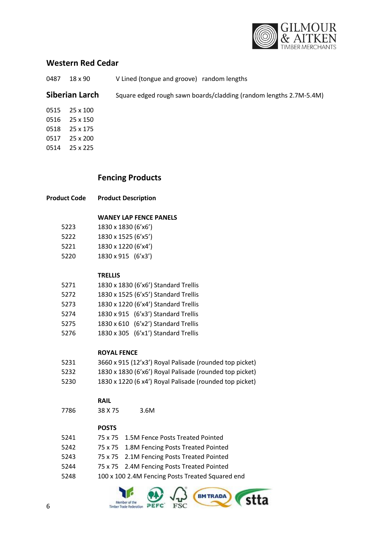

# **Western Red Cedar**

18 x 90 V Lined (tongue and groove) random lengths

**Siberian Larch** Square edged rough sawn boards/cladding (random lengths 2.7M-5.4M)

 25 x 100 25 x 150 25 x 175 25 x 200 25 x 225

# **Fencing Products**

#### **WANEY LAP FENCE PANELS**

| 5223 | 1830 x 1830 (6'x6') |
|------|---------------------|
| 5222 | 1830 x 1525 (6'x5') |
| 5221 | 1830 x 1220 (6'x4') |
| 5220 | 1830 x 915 (6'x3')  |

#### **TRELLIS**

| 5271 | 1830 x 1830 (6'x6') Standard Trellis |
|------|--------------------------------------|
| 5272 | 1830 x 1525 (6'x5') Standard Trellis |
| 5273 | 1830 x 1220 (6'x4') Standard Trellis |
| 5274 | 1830 x 915 (6'x3') Standard Trellis  |
| 5275 | 1830 x 610 (6'x2') Standard Trellis  |
| 5276 | 1830 x 305 (6'x1') Standard Trellis  |

#### **ROYAL FENCE**

| 5231 | 3660 x 915 (12'x3') Royal Palisade (rounded top picket) |
|------|---------------------------------------------------------|
| 5232 | 1830 x 1830 (6'x6') Royal Palisade (rounded top picket) |

1830 x 1220 (6 x4') Royal Palisade (rounded top picket)

#### **RAIL**

38 X 75 3.6M

#### **POSTS**

| 5241 | 75 x 75 1.5M Fence Posts Treated Pointed         |
|------|--------------------------------------------------|
| 5242 | 75 x 75 1.8M Fencing Posts Treated Pointed       |
| 5243 | 75 x 75 2.1M Fencing Posts Treated Pointed       |
| 5244 | 75 x 75 2.4M Fencing Posts Treated Pointed       |
| 5248 | 100 x 100 2.4M Fencing Posts Treated Squared end |

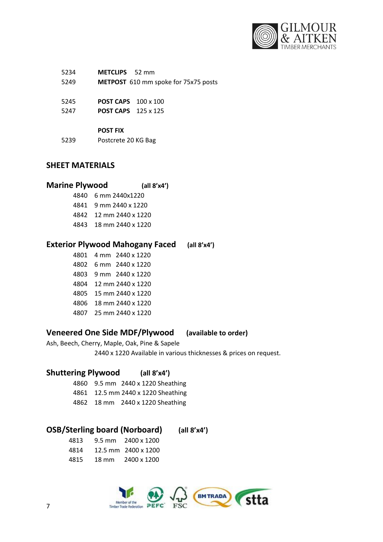

| 5234 | <b>METCLIPS</b> 52 mm                |
|------|--------------------------------------|
| 5249 | METPOST 610 mm spoke for 75x75 posts |
|      |                                      |
| 5245 | <b>POST CAPS</b> 100 x 100           |
| 5247 | <b>POST CAPS</b> 125 x 125           |
|      |                                      |
|      | <b>POST FIX</b>                      |
| 5239 | Postcrete 20 KG Bag                  |

# **SHEET MATERIALS**

## **Marine Plywood (all 8'x4')**

- 6 mm 2440x1220
- 9 mm 2440 x 1220
- 12 mm 2440 x 1220
- 18 mm 2440 x 1220

# **Exterior Plywood Mahogany Faced (all 8'x4')**

 4 mm 2440 x 1220 6 mm 2440 x 1220 9 mm 2440 x 1220 12 mm 2440 x 1220 15 mm 2440 x 1220 18 mm 2440 x 1220 25 mm 2440 x 1220

# **Veneered One Side MDF/Plywood (available to order)**

Ash, Beech, Cherry, Maple, Oak, Pine & Sapele

2440 x 1220 Available in various thicknesses & prices on request.

## **Shuttering Plywood (all 8'x4')**

- 9.5 mm 2440 x 1220 Sheathing
- 12.5 mm 2440 x 1220 Sheathing
- 18 mm 2440 x 1220 Sheathing

# **OSB/Sterling board (Norboard) (all 8'x4')**

 9.5 mm 2400 x 1200 12.5 mm 2400 x 1200 18 mm 2400 x 1200

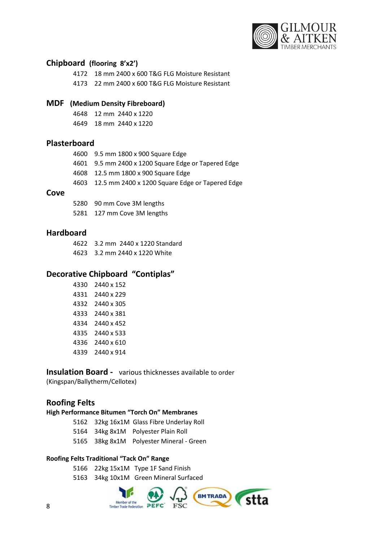

## **Chipboard (flooring 8'x2')**

 18 mm 2400 x 600 T&G FLG Moisture Resistant 22 mm 2400 x 600 T&G FLG Moisture Resistant

# **MDF (Medium Density Fibreboard)**

 12 mm 2440 x 1220 18 mm 2440 x 1220

## **Plasterboard**

| 4600 9.5 mm 1800 x 900 Square Edge                   |
|------------------------------------------------------|
| 4601 9.5 mm 2400 x 1200 Square Edge or Tapered Edge  |
| 4608 12.5 mm 1800 x 900 Square Edge                  |
| 4603 12.5 mm 2400 x 1200 Square Edge or Tapered Edge |
|                                                      |

#### **Cove**

 90 mm Cove 3M lengths 127 mm Cove 3M lengths

#### **Hardboard**

 3.2 mm 2440 x 1220 Standard 3.2 mm 2440 x 1220 White

# **Decorative Chipboard "Contiplas"**

| 4330 | 2440 x 152 |
|------|------------|
| 4331 | 2440 x 229 |
| 4332 | 2440 x 305 |
| 4333 | 2440 x 381 |
| 4334 | 2440 x 452 |
| 4335 | 2440 x 533 |
| 4336 | 2440 x 610 |
| 4339 | 2440 x 914 |
|      |            |

### **Insulation Board -** various thicknesses available to order (Kingspan/Ballytherm/Cellotex)

# **Roofing Felts**

## **High Performance Bitumen "Torch On" Membranes**

- 32kg 16x1M Glass Fibre Underlay Roll
- 34kg 8x1M Polyester Plain Roll
- 38kg 8x1M Polyester Mineral Green

#### **Roofing Felts Traditional "Tack On" Range**

22kg 15x1M Type 1F Sand Finish

34kg 10x1M Green Mineral Surfaced

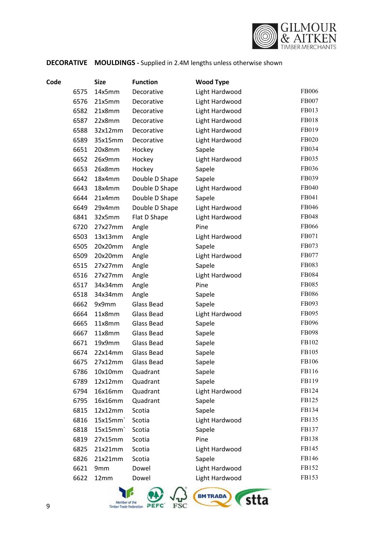

# **DECORATIVE MOULDINGS -** Supplied in 2.4M lengths unless otherwise shown

| Code |      | <b>Size</b> | <b>Function</b> | <b>Wood Type</b> |              |
|------|------|-------------|-----------------|------------------|--------------|
|      | 6575 | 14x5mm      | Decorative      | Light Hardwood   | <b>FB006</b> |
|      | 6576 | 21x5mm      | Decorative      | Light Hardwood   | FB007        |
|      | 6582 | 21x8mm      | Decorative      | Light Hardwood   | FB013        |
|      | 6587 | 22x8mm      | Decorative      | Light Hardwood   | FB018        |
|      | 6588 | 32x12mm     | Decorative      | Light Hardwood   | FB019        |
|      | 6589 | 35x15mm     | Decorative      | Light Hardwood   | FB020        |
|      | 6651 | 20x8mm      | Hockey          | Sapele           | FB034        |
|      | 6652 | 26x9mm      | Hockey          | Light Hardwood   | FB035        |
|      | 6653 | 26x8mm      | Hockey          | Sapele           | FB036        |
|      | 6642 | 18x4mm      | Double D Shape  | Sapele           | FB039        |
|      | 6643 | 18x4mm      | Double D Shape  | Light Hardwood   | FB040        |
|      | 6644 | 21x4mm      | Double D Shape  | Sapele           | FB041        |
|      | 6649 | 29x4mm      | Double D Shape  | Light Hardwood   | FB046        |
|      | 6841 | 32x5mm      | Flat D Shape    | Light Hardwood   | FB048        |
|      | 6720 | 27x27mm     | Angle           | Pine             | FB066        |
|      | 6503 | 13x13mm     | Angle           | Light Hardwood   | FB071        |
|      | 6505 | 20x20mm     | Angle           | Sapele           | FB073        |
|      | 6509 | 20x20mm     | Angle           | Light Hardwood   | FB077        |
|      | 6515 | 27x27mm     | Angle           | Sapele           | FB083        |
|      | 6516 | 27x27mm     | Angle           | Light Hardwood   | FB084        |
|      | 6517 | 34x34mm     | Angle           | Pine             | FB085        |
|      | 6518 | 34x34mm     | Angle           | Sapele           | <b>FB086</b> |
|      | 6662 | 9x9mm       | Glass Bead      | Sapele           | FB093        |
|      | 6664 | 11x8mm      | Glass Bead      | Light Hardwood   | FB095        |
|      | 6665 | 11x8mm      | Glass Bead      | Sapele           | FB096        |
|      | 6667 | 11x8mm      | Glass Bead      | Sapele           | FB098        |
|      | 6671 | 19x9mm      | Glass Bead      | Sapele           | FB102        |
|      | 6674 | 22x14mm     | Glass Bead      | Sapele           | FB105        |
|      | 6675 | 27x12mm     | Glass Bead      | Sapele           | FB106        |
|      | 6786 | 10x10mm     | Quadrant        | Sapele           | FB116        |
|      | 6789 | 12x12mm     | Quadrant        | Sapele           | FB119        |
|      | 6794 | 16x16mm     | Quadrant        | Light Hardwood   | FB124        |
|      | 6795 | 16x16mm     | Quadrant        | Sapele           | FB125        |
|      | 6815 | 12x12mm     | Scotia          | Sapele           | FB134        |
|      | 6816 | 15x15mm     | Scotia          | Light Hardwood   | FB135        |
|      | 6818 | 15x15mm     | Scotia          | Sapele           | FB137        |
|      | 6819 | 27x15mm     | Scotia          | Pine             | FB138        |
|      | 6825 | 21x21mm     | Scotia          | Light Hardwood   | FB145        |
|      | 6826 | 21x21mm     | Scotia          | Sapele           | FB146        |
|      | 6621 | 9mm         | Dowel           | Light Hardwood   | FB152        |
|      | 6622 | 12mm        | Dowel           | Light Hardwood   | FB153        |

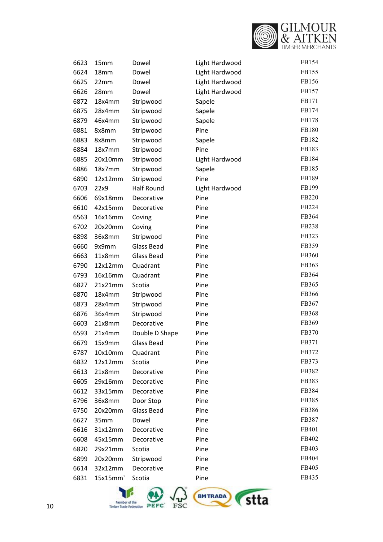

| 6623 | 15mm    | Dowel             | Light Hardwood | FB154 |
|------|---------|-------------------|----------------|-------|
| 6624 | 18mm    | Dowel             | Light Hardwood | FB155 |
| 6625 | 22mm    | Dowel             | Light Hardwood | FB156 |
| 6626 | 28mm    | Dowel             | Light Hardwood | FB157 |
| 6872 | 18x4mm  | Stripwood         | Sapele         | FB171 |
| 6875 | 28x4mm  | Stripwood         | Sapele         | FB174 |
| 6879 | 46x4mm  | Stripwood         | Sapele         | FB178 |
| 6881 | 8x8mm   | Stripwood         | Pine           | FB180 |
| 6883 | 8x8mm   | Stripwood         | Sapele         | FB182 |
| 6884 | 18x7mm  | Stripwood         | Pine           | FB183 |
| 6885 | 20x10mm | Stripwood         | Light Hardwood | FB184 |
| 6886 | 18x7mm  | Stripwood         | Sapele         | FB185 |
| 6890 | 12x12mm | Stripwood         | Pine           | FB189 |
| 6703 | 22x9    | <b>Half Round</b> | Light Hardwood | FB199 |
| 6606 | 69x18mm | Decorative        | Pine           | FB220 |
| 6610 | 42x15mm | Decorative        | Pine           | FB224 |
| 6563 | 16x16mm | Coving            | Pine           | FB364 |
| 6702 | 20x20mm | Coving            | Pine           | FB238 |
| 6898 | 36x8mm  | Stripwood         | Pine           | FB323 |
| 6660 | 9x9mm   | Glass Bead        | Pine           | FB359 |
| 6663 | 11x8mm  | Glass Bead        | Pine           | FB360 |
| 6790 | 12x12mm | Quadrant          | Pine           | FB363 |
| 6793 | 16x16mm | Quadrant          | Pine           | FB364 |
| 6827 | 21x21mm | Scotia            | Pine           | FB365 |
| 6870 | 18x4mm  | Stripwood         | Pine           | FB366 |
| 6873 | 28x4mm  | Stripwood         | Pine           | FB367 |
| 6876 | 36x4mm  | Stripwood         | Pine           | FB368 |
| 6603 | 21x8mm  | Decorative        | Pine           | FB369 |
| 6593 | 21x4mm  | Double D Shape    | Pine           | FB370 |
| 6679 | 15x9mm  | <b>Glass Bead</b> | Pine           | FB371 |
| 6787 | 10x10mm | Quadrant          | Pine           | FB372 |
| 6832 | 12x12mm | Scotia            | Pine           | FB373 |
| 6613 | 21x8mm  | Decorative        | Pine           | FB382 |
| 6605 | 29x16mm | Decorative        | Pine           | FB383 |
| 6612 | 33x15mm | Decorative        | Pine           | FB384 |
| 6796 | 36x8mm  | Door Stop         | Pine           | FB385 |
| 6750 | 20x20mm | Glass Bead        | Pine           | FB386 |
| 6627 | 35mm    | Dowel             | Pine           | FB387 |
| 6616 | 31x12mm | Decorative        | Pine           | FB401 |
| 6608 | 45x15mm | Decorative        | Pine           | FB402 |
| 6820 | 29x21mm | Scotia            | Pine           | FB403 |
| 6899 | 20x20mm | Stripwood         | Pine           | FB404 |
| 6614 | 32x12mm | Decorative        | Pine           | FB405 |
| 6831 | 15x15mm | Scotia            | Pine           | FB435 |

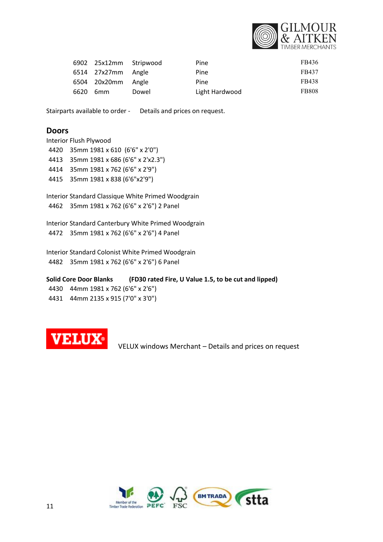

|      | 6902 25x12mm Stripwood |       | Pine           | FB436        |
|------|------------------------|-------|----------------|--------------|
|      | 6514 27x27mm Angle     |       | Pine           | FB437        |
|      | 6504 20x20mm Angle     |       | Pine           | FB438        |
| 6620 | 6mm                    | Dowel | Light Hardwood | <b>FB808</b> |

Stairparts available to order - Details and prices on request.

## **Doors**

Interior Flush Plywood 35mm 1981 x 610 (6'6" x 2'0") 35mm 1981 x 686 (6'6" x 2'x2.3") 35mm 1981 x 762 (6'6" x 2'9") 35mm 1981 x 838 (6'6"x2'9")

Interior Standard Classique White Primed Woodgrain 35mm 1981 x 762 (6'6" x 2'6") 2 Panel

Interior Standard Canterbury White Primed Woodgrain 35mm 1981 x 762 (6'6" x 2'6") 4 Panel

Interior Standard Colonist White Primed Woodgrain 35mm 1981 x 762 (6'6" x 2'6") 6 Panel

**Solid Core Door Blanks (FD30 rated Fire, U Value 1.5, to be cut and lipped)** 44mm 1981 x 762 (6'6" x 2'6") 44mm 2135 x 915 (7'0" x 3'0")



VELUX windows Merchant – Details and prices on request

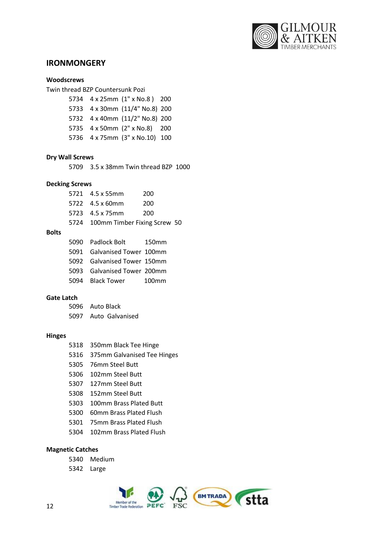

# **IRONMONGERY**

#### **Woodscrews**

Twin thread BZP Countersunk Pozi

 4 x 25mm (1" x No.8 ) 200 4 x 30mm (11/4" No.8) 200 4 x 40mm (11/2" No.8) 200 4 x 50mm (2" x No.8) 200 4 x 75mm (3" x No.10) 100

#### **Dry Wall Screws**

3.5 x 38mm Twin thread BZP 1000

#### **Decking Screws**

 4.5 x 55mm 200 4.5 x 60mm 200 4.5 x 75mm 200 100mm Timber Fixing Screw 50

# **Bolts**

| 5090 Padlock Bolt           | 150mm             |
|-----------------------------|-------------------|
| 5091 Galvanised Tower 100mm |                   |
| 5092 Galvanised Tower 150mm |                   |
| 5093 Galvanised Tower 200mm |                   |
| 5094 Black Tower            | 100 <sub>mm</sub> |

#### **Gate Latch**

| 5096 Auto Black      |
|----------------------|
| 5097 Auto Galvanised |

#### **Hinges**

- 350mm Black Tee Hinge
- 375mm Galvanised Tee Hinges
- 76mm Steel Butt
- 102mm Steel Butt
- 127mm Steel Butt
- 152mm Steel Butt
- 100mm Brass Plated Butt
- 60mm Brass Plated Flush
- 75mm Brass Plated Flush
- 102mm Brass Plated Flush

#### **Magnetic Catches**

- Medium
- Large

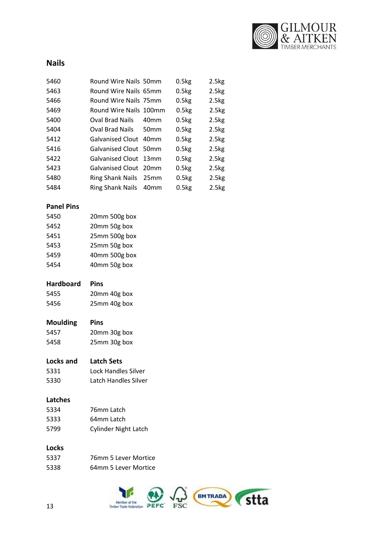

# **Nails**

| 5460 | Round Wire Nails 50mm   |                  | 0.5kg | 2.5kg |
|------|-------------------------|------------------|-------|-------|
| 5463 | Round Wire Nails 65mm   |                  | 0.5kg | 2.5kg |
| 5466 | Round Wire Nails 75mm   |                  | 0.5kg | 2.5kg |
| 5469 | Round Wire Nails 100mm  |                  | 0.5kg | 2.5kg |
| 5400 | Oval Brad Nails         | 40 <sub>mm</sub> | 0.5kg | 2.5kg |
| 5404 | Oval Brad Nails         | 50mm             | 0.5kg | 2.5kg |
| 5412 | <b>Galvanised Clout</b> | 40 <sub>mm</sub> | 0.5kg | 2.5kg |
| 5416 | Galvanised Clout 50mm   |                  | 0.5kg | 2.5kg |
| 5422 | Galvanised Clout 13mm   |                  | 0.5kg | 2.5kg |
| 5423 | Galvanised Clout 20mm   |                  | 0.5kg | 2.5kg |
| 5480 | Ring Shank Nails        | 25 <sub>mm</sub> | 0.5kg | 2.5kg |
| 5484 | Ring Shank Nails        | 40mm             | 0.5kg | 2.5kg |

#### **Panel Pins**

| 5450 | 20mm 500g box |
|------|---------------|
| 5452 | 20mm 50g box  |
| 5451 | 25mm 500g box |
| 5453 | 25mm 50g box  |
| 5459 | 40mm 500g box |
| 5454 | 40mm 50g box  |

#### **Hardboard Pins**

| 5455 | 20mm 40g box |
|------|--------------|
| 5456 | 25mm 40g box |

# **Moulding Pins**

 20mm 30g box 25mm 30g box

#### **Locks and Latch Sets**

| 5331 | Lock Handles Silver  |
|------|----------------------|
| 5330 | Latch Handles Silver |

#### **Latches**

| 5334  | 76mm Latch                  |
|-------|-----------------------------|
| 5333. | 64mm Latch                  |
| 5799  | <b>Cylinder Night Latch</b> |

# **Locks**

| 5337 | 76mm 5 Lever Mortice |
|------|----------------------|
| 5338 | 64mm 5 Lever Mortice |